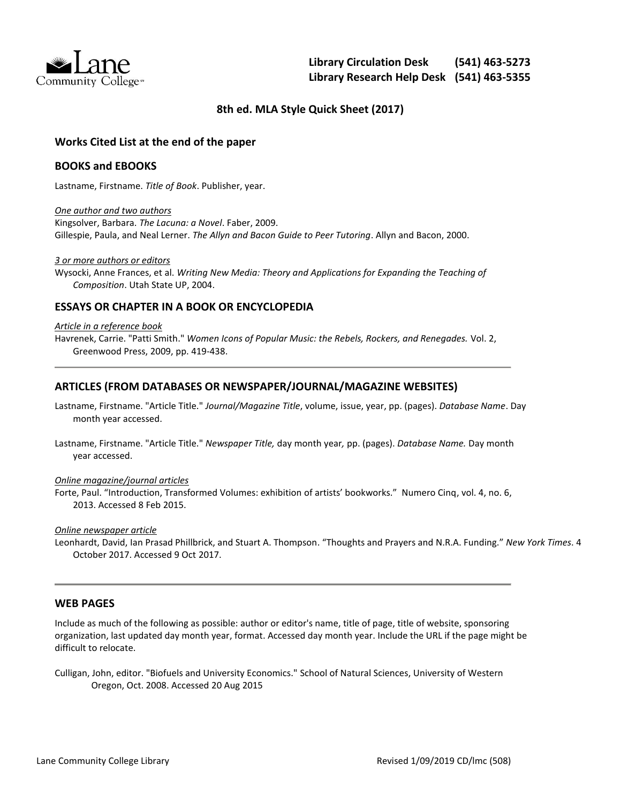

## **8th ed. MLA Style Quick Sheet (2017)**

## **Works Cited List at the end of the paper**

### **BOOKS and EBOOKS**

Lastname, Firstname. *Title of Book*. Publisher, year.

#### *One author and two authors*

Kingsolver, Barbara. *The Lacuna: a Novel*. Faber, 2009. Gillespie, Paula, and Neal Lerner. *The Allyn and Bacon Guide to Peer Tutoring*. Allyn and Bacon, 2000.

#### *3 or more authors or editors*

Wysocki, Anne Frances, et al. *Writing New Media: Theory and Applications for Expanding the Teaching of Composition*. Utah State UP, 2004.

## **ESSAYS OR CHAPTER IN A BOOK OR ENCYCLOPEDIA**

#### *Article in a reference book*

Havrenek, Carrie. "Patti Smith." *Women Icons of Popular Music: the Rebels, Rockers, and Renegades.* Vol. 2, Greenwood Press, 2009, pp. 419-438.

## **ARTICLES (FROM DATABASES OR NEWSPAPER/JOURNAL/MAGAZINE WEBSITES)**

Lastname, Firstname. "Article Title." *Journal/Magazine Title*, volume, issue, year, pp. (pages). *Database Name*. Day month year accessed.

Lastname, Firstname. "Article Title." *Newspaper Title,* day month year*,* pp. (pages). *Database Name.* Day month year accessed.

#### *Online magazine/journal articles*

Forte, Paul. "Introduction, Transformed Volumes: exhibition of artists' bookworks." Numero Cinq, vol. 4, no. 6, 2013. Accessed 8 Feb 2015.

#### *Online newspaper article*

Leonhardt, David, Ian Prasad Phillbrick, and Stuart A. Thompson. "Thoughts and Prayers and N.R.A. Funding." *New York Times*. 4 October 2017. Accessed 9 Oct 2017.

#### **WEB PAGES**

Include as much of the following as possible: author or editor's name, title of page, title of website, sponsoring organization, last updated day month year, format. Accessed day month year. Include the URL if the page might be difficult to relocate.

Culligan, John, editor. "Biofuels and University Economics." School of Natural Sciences, University of Western Oregon, Oct. 2008. Accessed 20 Aug 2015